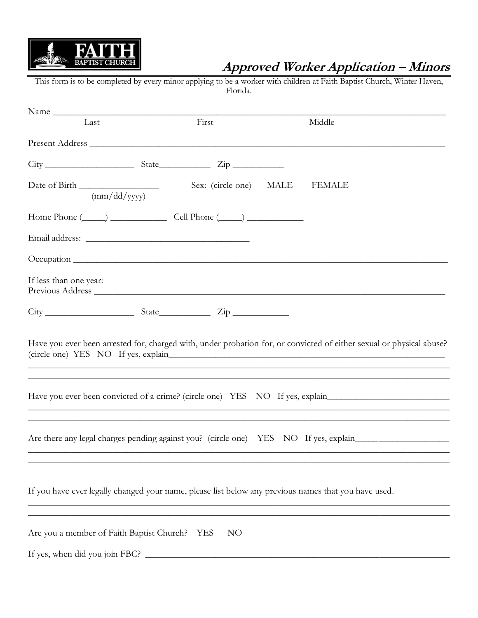

## **Approved Worker Application – Minors**

This form is to be completed by every minor applying to be a worker with children at Faith Baptist Church, Winter Haven, Florida.

| Name                                      |                                                              |                                                                                                                                                                  |  |
|-------------------------------------------|--------------------------------------------------------------|------------------------------------------------------------------------------------------------------------------------------------------------------------------|--|
| Last                                      | First                                                        | Middle                                                                                                                                                           |  |
|                                           |                                                              |                                                                                                                                                                  |  |
|                                           |                                                              |                                                                                                                                                                  |  |
| Date of Birth<br>(mm/dd/yyyy)             | Sex: (circle one) MALE                                       | FEMALE                                                                                                                                                           |  |
|                                           | Home Phone $(\_\_\_\_)$ $\_\_\_\_\_$ Cell Phone $(\_\_\_\_)$ |                                                                                                                                                                  |  |
|                                           |                                                              |                                                                                                                                                                  |  |
|                                           |                                                              |                                                                                                                                                                  |  |
| If less than one year:                    |                                                              | Previous Address                                                                                                                                                 |  |
|                                           | $City$ $City$ $State$ $Zip$                                  |                                                                                                                                                                  |  |
|                                           |                                                              | Have you ever been arrested for, charged with, under probation for, or convicted of either sexual or physical abuse?                                             |  |
|                                           |                                                              | Have you ever been convicted of a crime? (circle one) YES NO If yes, explain<br>,我们也不能在这里的时候,我们也不能在这里的时候,我们也不能不能不能不能不能不能不能不能不能不能不能不能不能不能不能。""我们的是我们的,我们也不能不能不能不能 |  |
|                                           |                                                              |                                                                                                                                                                  |  |
|                                           |                                                              | If you have ever legally changed your name, please list below any previous names that you have used.                                                             |  |
| Are you a member of Faith Baptist Church? | NO<br>YES                                                    |                                                                                                                                                                  |  |
| If yes, when did you join FBC?            |                                                              |                                                                                                                                                                  |  |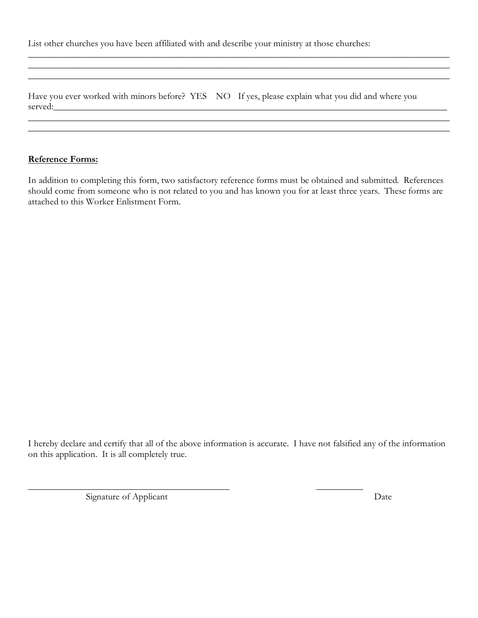List other churches you have been affiliated with and describe your ministry at those churches:

Have you ever worked with minors before? YES NO If yes, please explain what you did and where you served:\_\_\_\_\_\_\_\_\_\_\_\_\_\_\_\_\_\_\_\_\_\_\_\_\_\_\_\_\_\_\_\_\_\_\_\_\_\_\_\_\_\_\_\_\_\_\_\_\_\_\_\_\_\_\_\_\_\_\_\_\_\_\_\_\_\_\_\_\_\_\_\_\_\_\_\_\_\_\_\_\_\_\_\_

\_\_\_\_\_\_\_\_\_\_\_\_\_\_\_\_\_\_\_\_\_\_\_\_\_\_\_\_\_\_\_\_\_\_\_\_\_\_\_\_\_\_\_\_\_\_\_\_\_\_\_\_\_\_\_\_\_\_\_\_\_\_\_\_\_\_\_\_\_\_\_\_\_\_\_\_\_\_\_\_\_\_\_\_\_\_\_\_\_\_  $\_$  , and the set of the set of the set of the set of the set of the set of the set of the set of the set of the set of the set of the set of the set of the set of the set of the set of the set of the set of the set of th  $\_$  , and the contribution of the contribution of  $\mathcal{L}$  , and  $\mathcal{L}$  , and  $\mathcal{L}$  , and  $\mathcal{L}$  , and  $\mathcal{L}$ 

 $\_$  , and the set of the set of the set of the set of the set of the set of the set of the set of the set of the set of the set of the set of the set of the set of the set of the set of the set of the set of the set of th  $\_$  , and the set of the set of the set of the set of the set of the set of the set of the set of the set of the set of the set of the set of the set of the set of the set of the set of the set of the set of the set of th

## **Reference Forms:**

In addition to completing this form, two satisfactory reference forms must be obtained and submitted. References should come from someone who is not related to you and has known you for at least three years. These forms are attached to this Worker Enlistment Form.

I hereby declare and certify that all of the above information is accurate. I have not falsified any of the information on this application. It is all completely true.

\_\_\_\_\_\_\_\_\_\_\_\_\_\_\_\_\_\_\_\_\_\_\_\_\_\_\_\_\_\_\_\_\_\_\_\_\_\_\_\_\_\_\_ \_\_\_\_\_\_\_\_\_\_

Signature of Applicant Date